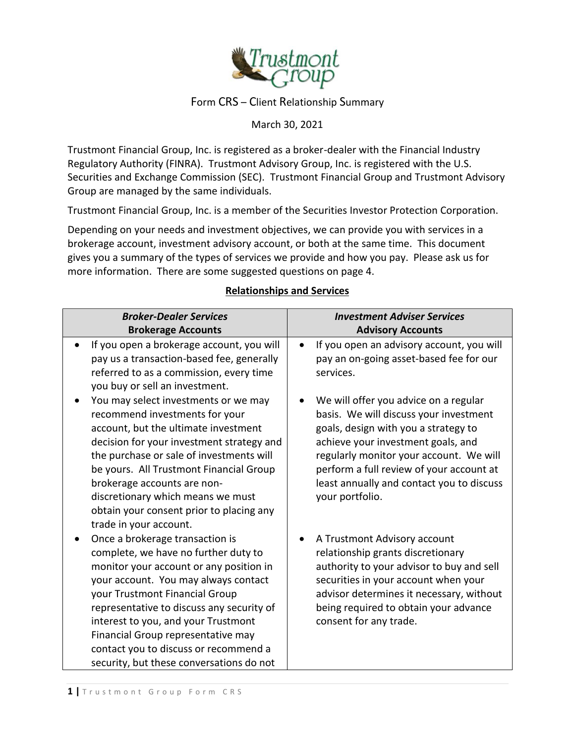

### Form CRS – Client Relationship Summary

March 30, 2021

Trustmont Financial Group, Inc. is registered as a broker-dealer with the Financial Industry Regulatory Authority (FINRA). Trustmont Advisory Group, Inc. is registered with the U.S. Securities and Exchange Commission (SEC). Trustmont Financial Group and Trustmont Advisory Group are managed by the same individuals.

Trustmont Financial Group, Inc. is a member of the Securities Investor Protection Corporation.

Depending on your needs and investment objectives, we can provide you with services in a brokerage account, investment advisory account, or both at the same time. This document gives you a summary of the types of services we provide and how you pay. Please ask us for more information. There are some suggested questions on page 4.

| <b>Broker-Dealer Services</b>                                                                                                                                                                                                                                                                                                                                                                               | <b>Investment Adviser Services</b>                                                                                                                                                                                                                                                                                   |
|-------------------------------------------------------------------------------------------------------------------------------------------------------------------------------------------------------------------------------------------------------------------------------------------------------------------------------------------------------------------------------------------------------------|----------------------------------------------------------------------------------------------------------------------------------------------------------------------------------------------------------------------------------------------------------------------------------------------------------------------|
| <b>Brokerage Accounts</b>                                                                                                                                                                                                                                                                                                                                                                                   | <b>Advisory Accounts</b>                                                                                                                                                                                                                                                                                             |
| If you open a brokerage account, you will<br>$\bullet$<br>pay us a transaction-based fee, generally<br>referred to as a commission, every time<br>you buy or sell an investment.                                                                                                                                                                                                                            | If you open an advisory account, you will<br>pay an on-going asset-based fee for our<br>services.                                                                                                                                                                                                                    |
| You may select investments or we may<br>recommend investments for your<br>account, but the ultimate investment<br>decision for your investment strategy and<br>the purchase or sale of investments will<br>be yours. All Trustmont Financial Group<br>brokerage accounts are non-<br>discretionary which means we must<br>obtain your consent prior to placing any<br>trade in your account.                | We will offer you advice on a regular<br>basis. We will discuss your investment<br>goals, design with you a strategy to<br>achieve your investment goals, and<br>regularly monitor your account. We will<br>perform a full review of your account at<br>least annually and contact you to discuss<br>your portfolio. |
| Once a brokerage transaction is<br>complete, we have no further duty to<br>monitor your account or any position in<br>your account. You may always contact<br>your Trustmont Financial Group<br>representative to discuss any security of<br>interest to you, and your Trustmont<br>Financial Group representative may<br>contact you to discuss or recommend a<br>security, but these conversations do not | A Trustmont Advisory account<br>relationship grants discretionary<br>authority to your advisor to buy and sell<br>securities in your account when your<br>advisor determines it necessary, without<br>being required to obtain your advance<br>consent for any trade.                                                |

#### **Relationships and Services**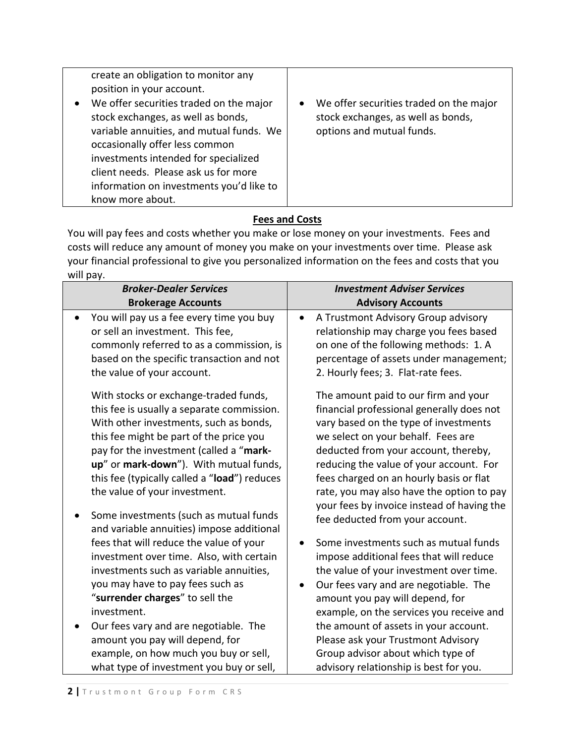| create an obligation to monitor any      |                                                      |
|------------------------------------------|------------------------------------------------------|
| position in your account.                |                                                      |
| We offer securities traded on the major  | We offer securities traded on the major<br>$\bullet$ |
| stock exchanges, as well as bonds,       | stock exchanges, as well as bonds,                   |
| variable annuities, and mutual funds. We | options and mutual funds.                            |
| occasionally offer less common           |                                                      |
| investments intended for specialized     |                                                      |
| client needs. Please ask us for more     |                                                      |
| information on investments you'd like to |                                                      |
| know more about.                         |                                                      |

# **Fees and Costs**

You will pay fees and costs whether you make or lose money on your investments. Fees and costs will reduce any amount of money you make on your investments over time. Please ask your financial professional to give you personalized information on the fees and costs that you will pay.

| <b>Broker-Dealer Services</b>                                                                                                                                                                                                                                                                                                                                                                                                                      | <b>Investment Adviser Services</b>                                                                                                                                                                                                                                                                                                                                                                                           |
|----------------------------------------------------------------------------------------------------------------------------------------------------------------------------------------------------------------------------------------------------------------------------------------------------------------------------------------------------------------------------------------------------------------------------------------------------|------------------------------------------------------------------------------------------------------------------------------------------------------------------------------------------------------------------------------------------------------------------------------------------------------------------------------------------------------------------------------------------------------------------------------|
| <b>Brokerage Accounts</b>                                                                                                                                                                                                                                                                                                                                                                                                                          | <b>Advisory Accounts</b>                                                                                                                                                                                                                                                                                                                                                                                                     |
| You will pay us a fee every time you buy<br>$\bullet$<br>or sell an investment. This fee,<br>commonly referred to as a commission, is<br>based on the specific transaction and not<br>the value of your account.                                                                                                                                                                                                                                   | A Trustmont Advisory Group advisory<br>relationship may charge you fees based<br>on one of the following methods: 1. A<br>percentage of assets under management;<br>2. Hourly fees; 3. Flat-rate fees.                                                                                                                                                                                                                       |
| With stocks or exchange-traded funds,<br>this fee is usually a separate commission.<br>With other investments, such as bonds,<br>this fee might be part of the price you<br>pay for the investment (called a "mark-<br>up" or mark-down"). With mutual funds,<br>this fee (typically called a "load") reduces<br>the value of your investment.<br>Some investments (such as mutual funds<br>$\bullet$<br>and variable annuities) impose additional | The amount paid to our firm and your<br>financial professional generally does not<br>vary based on the type of investments<br>we select on your behalf. Fees are<br>deducted from your account, thereby,<br>reducing the value of your account. For<br>fees charged on an hourly basis or flat<br>rate, you may also have the option to pay<br>your fees by invoice instead of having the<br>fee deducted from your account. |
| fees that will reduce the value of your<br>investment over time. Also, with certain<br>investments such as variable annuities,<br>you may have to pay fees such as                                                                                                                                                                                                                                                                                 | Some investments such as mutual funds<br>impose additional fees that will reduce<br>the value of your investment over time.<br>Our fees vary and are negotiable. The<br>$\bullet$                                                                                                                                                                                                                                            |
| "surrender charges" to sell the                                                                                                                                                                                                                                                                                                                                                                                                                    | amount you pay will depend, for                                                                                                                                                                                                                                                                                                                                                                                              |
| investment.                                                                                                                                                                                                                                                                                                                                                                                                                                        | example, on the services you receive and                                                                                                                                                                                                                                                                                                                                                                                     |
| Our fees vary and are negotiable. The<br>٠                                                                                                                                                                                                                                                                                                                                                                                                         | the amount of assets in your account.                                                                                                                                                                                                                                                                                                                                                                                        |
| amount you pay will depend, for                                                                                                                                                                                                                                                                                                                                                                                                                    | Please ask your Trustmont Advisory                                                                                                                                                                                                                                                                                                                                                                                           |
| example, on how much you buy or sell,                                                                                                                                                                                                                                                                                                                                                                                                              | Group advisor about which type of                                                                                                                                                                                                                                                                                                                                                                                            |
| what type of investment you buy or sell,                                                                                                                                                                                                                                                                                                                                                                                                           | advisory relationship is best for you.                                                                                                                                                                                                                                                                                                                                                                                       |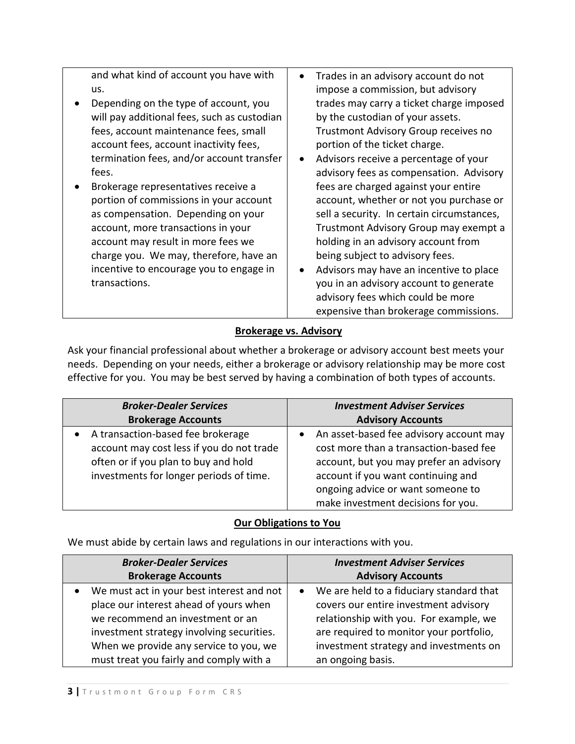and what kind of account you have with us.

- Depending on the type of account, you will pay additional fees, such as custodian fees, account maintenance fees, small account fees, account inactivity fees, termination fees, and/or account transfer fees.
- Brokerage representatives receive a portion of commissions in your account as compensation. Depending on your account, more transactions in your account may result in more fees we charge you. We may, therefore, have an incentive to encourage you to engage in transactions.
- Trades in an advisory account do not impose a commission, but advisory trades may carry a ticket charge imposed by the custodian of your assets. Trustmont Advisory Group receives no portion of the ticket charge.
- Advisors receive a percentage of your advisory fees as compensation. Advisory fees are charged against your entire account, whether or not you purchase or sell a security. In certain circumstances, Trustmont Advisory Group may exempt a holding in an advisory account from being subject to advisory fees.
- Advisors may have an incentive to place you in an advisory account to generate advisory fees which could be more expensive than brokerage commissions.

# **Brokerage vs. Advisory**

Ask your financial professional about whether a brokerage or advisory account best meets your needs. Depending on your needs, either a brokerage or advisory relationship may be more cost effective for you. You may be best served by having a combination of both types of accounts.

| <b>Broker-Dealer Services</b>                                                                                                                                                  | <b>Investment Adviser Services</b>                                                                                                                                                                                                                         |
|--------------------------------------------------------------------------------------------------------------------------------------------------------------------------------|------------------------------------------------------------------------------------------------------------------------------------------------------------------------------------------------------------------------------------------------------------|
| <b>Brokerage Accounts</b>                                                                                                                                                      | <b>Advisory Accounts</b>                                                                                                                                                                                                                                   |
| A transaction-based fee brokerage<br>$\bullet$<br>account may cost less if you do not trade<br>often or if you plan to buy and hold<br>investments for longer periods of time. | An asset-based fee advisory account may<br>$\bullet$<br>cost more than a transaction-based fee<br>account, but you may prefer an advisory<br>account if you want continuing and<br>ongoing advice or want someone to<br>make investment decisions for you. |

# **Our Obligations to You**

We must abide by certain laws and regulations in our interactions with you.

| <b>Broker-Dealer Services</b>             | <b>Investment Adviser Services</b>                    |
|-------------------------------------------|-------------------------------------------------------|
| <b>Brokerage Accounts</b>                 | <b>Advisory Accounts</b>                              |
| We must act in your best interest and not | We are held to a fiduciary standard that<br>$\bullet$ |
| place our interest ahead of yours when    | covers our entire investment advisory                 |
| we recommend an investment or an          | relationship with you. For example, we                |
| investment strategy involving securities. | are required to monitor your portfolio,               |
| When we provide any service to you, we    | investment strategy and investments on                |
| must treat you fairly and comply with a   | an ongoing basis.                                     |